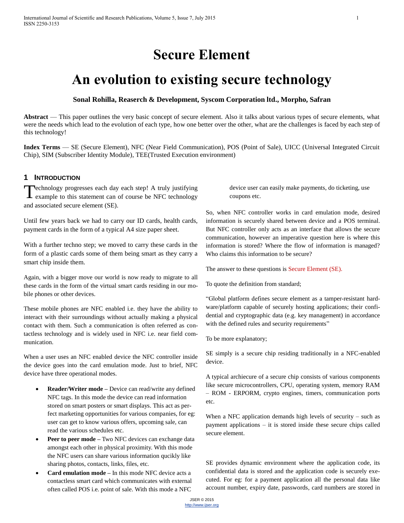# **Secure Element**

# **An evolution to existing secure technology**

## **Sonal Rohilla, Reaserch & Development, Syscom Corporation ltd., Morpho, Safran**

**Abstract** — This paper outlines the very basic concept of secure element. Also it talks about various types of secure elements, what were the needs which lead to the evolution of each type, how one better over the other, what are the challenges is faced by each step of this technology!

**Index Terms** — SE (Secure Element), NFC (Near Field Communication), POS (Point of Sale), UICC (Universal Integrated Circuit Chip), SIM (Subscriber Identity Module), TEE(Trusted Execution environment)

# **1 INTRODUCTION**

echnology progresses each day each step! A truly justifying Technology progresses each day each step! A truly justifying example to this statement can of course be NFC technology and associated secure element (SE).

Until few years back we had to carry our ID cards, health cards, payment cards in the form of a typical A4 size paper sheet.

With a further techno step; we moved to carry these cards in the form of a plastic cards some of them being smart as they carry a smart chip inside them.

Again, with a bigger move our world is now ready to migrate to all these cards in the form of the virtual smart cards residing in our mobile phones or other devices.

These mobile phones are NFC enabled i.e. they have the ability to interact with their surroundings without actually making a physical contact with them. Such a communication is often referred as contactless technology and is widely used in NFC i.e. near field communication.

When a user uses an NFC enabled device the NFC controller inside the device goes into the card emulation mode. Just to brief, NFC device have three operational modes.

- **Reader/Writer mode –** Device can read/write any defined NFC tags. In this mode the device can read information stored on smart posters or smart displays. This act as perfect marketing opportunities for various companies, for eg: user can get to know various offers, upcoming sale, can read the various schedules etc.
- **Peer to peer mode –** Two NFC devices can exchange data amongst each other in physical proximity. With this mode the NFC users can share various information qucikly like sharing photos, contacts, links, files, etc.
- **Card emulation mode –** In this mode NFC device acts a contactless smart card which communicates with external often called POS i.e. point of sale. With this mode a NFC

device user can easily make payments, do ticketing, use coupons etc.

So, when NFC controller works in card emulation mode, desired information is securely shared between device and a POS terminal. But NFC controller only acts as an interface that allows the secure communication, however an imperative question here is where this information is stored? Where the flow of information is managed? Who claims this information to be secure?

The answer to these questions is Secure Element (SE).

To quote the definition from standard;

"Global platform defines secure element as a tamper-resistant hardware/platform capable of securely hosting applications; their confidential and cryptographic data (e.g. key management) in accordance with the defined rules and security requirements"

To be more explanatory;

SE simply is a secure chip residing traditionally in a NFC-enabled device.

A typical archiecure of a secure chip consists of various components like secure microcontrollers, CPU, operating system, memory RAM – ROM - ERPORM, crypto engines, timers, communication ports etc.

When a NFC application demands high levels of security – such as payment applications – it is stored inside these secure chips called secure element.

SE provides dynamic environment where the application code, its confidential data is stored and the application code is securely executed. For eg: for a payment application all the personal data like account number, expiry date, passwords, card numbers are stored in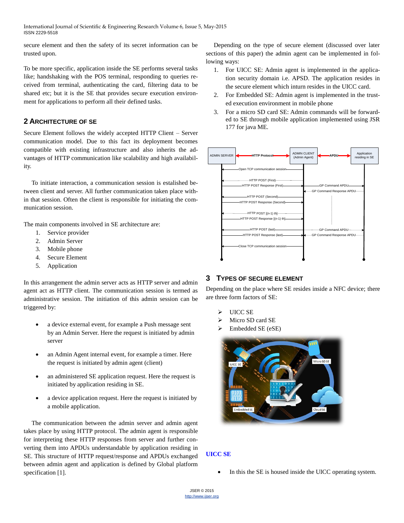secure element and then the safety of its secret information can be trusted upon.

To be more specific, application inside the SE performs several tasks like; handshaking with the POS terminal, responding to queries received from terminal, authenticating the card, filtering data to be shared etc; but it is the SE that provides secure execution environment for applications to perform all their defined tasks.

# **2 ARCHITECTURE OF SE**

Secure Element follows the widely accepted HTTP Client – Server communication model. Due to this fact its deployment becomes compatible with existing infrastructure and also inherits the advantages of HTTP communication like scalability and high availability.

To initiate interaction, a communication session is estalished between client and server. All further communication taken place within that session. Often the client is responsible for initiating the communication session.

The main components involved in SE architecture are:

- 1. Service provider
- 2. Admin Server
- 3. Mobile phone
- 4. Secure Element
- 5. Application

In this arrangement the admin server acts as HTTP server and admin agent act as HTTP client. The communication session is termed as administrative session. The initiation of this admin session can be triggered by:

- a device external event, for example a Push message sent by an Admin Server. Here the request is initiated by admin server
- an Admin Agent internal event, for example a timer. Here the request is initiated by admin agent (client)
- an administered SE application request. Here the request is initiated by application residing in SE.
- a device application request. Here the request is initiated by a mobile application.

The communication between the admin server and admin agent takes place by using HTTP protocol. The admin agent is responsible for interpreting these HTTP responses from server and further converting them into APDUs understandable by application residing in SE. This structure of HTTP request/response and APDUs exchanged between admin agent and application is defined by Global platform specification [1].

Depending on the type of secure element (discussed over later sections of this paper) the admin agent can be implemented in following ways:

- 1. For UICC SE: Admin agent is implemented in the application security domain i.e. APSD. The application resides in the secure element which inturn resides in the UICC card.
- 2. For Embedded SE: Admin agent is implemented in the trusted execution environment in mobile phone
- 3. For a micro SD card SE: Admin commands will be forwarded to SE through mobile application implemented using JSR 177 for java ME.



# **3 TYPES OF SECURE ELEMENT**

Depending on the place where SE resides inside a NFC device; there are three form factors of SE:

- UICC SE
- Micro SD card SE
- Embedded SE (eSE)



# **UICC SE**

In this the SE is housed inside the UICC operating system.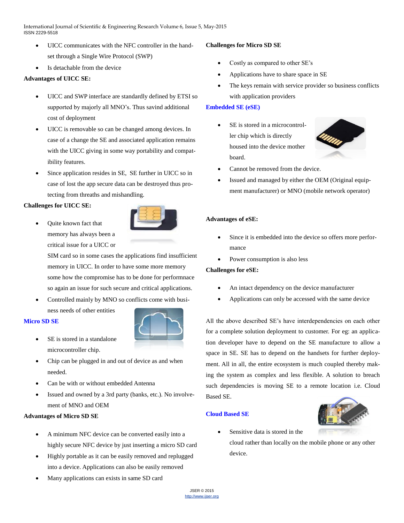- UICC communicates with the NFC controller in the handset through a Single Wire Protocol (SWP)
- Is detachable from the device

## **Advantages of UICC SE:**

- UICC and SWP interface are standardly defined by ETSI so supported by majorly all MNO's. Thus savind additional cost of deployment
- UICC is removable so can be changed among devices. In case of a change the SE and associated application remains with the UICC giving in some way portability and compatibility features.
- Since application resides in SE, SE further in UICC so in case of lost the app secure data can be destroyed thus protecting from threaths and mishandling.

### **Challenges for UICC SE:**

 Quite known fact that memory has always been a critical issue for a UICC or

> SIM card so in some cases the applications find insufficient memory in UICC. In order to have some more memory some how the compromise has to be done for performnace so again an issue for such secure and critical applications.

 Controlled mainly by MNO so conflicts come with business needs of other entities

### **Micro SD SE**



- SE is stored in a standalone microcontroller chip.
- Chip can be plugged in and out of device as and when needed.
- Can be with or without embedded Antenna
- Issued and owned by a 3rd party (banks, etc.). No involvement of MNO and OEM

## **Advantages of Micro SD SE**

- A minimum NFC device can be converted easily into a highly secure NFC device by just inserting a micro SD card
- Highly portable as it can be easily removed and replugged into a device. Applications can also be easily removed
- Many applications can exists in same SD card

## **Challenges for Micro SD SE**

- Costly as compared to other SE's
- Applications have to share space in SE
- The keys remain with service provider so business conflicts with application providers

## **Embedded SE (eSE)**

 SE is stored in a microcontroller chip which is directly housed into the device mother board.



- Cannot be removed from the device.
- Issued and managed by either the OEM (Original equipment manufacturer) or MNO (mobile network operator)

## **Advantages of eSE:**

- Since it is embedded into the device so offers more performance
- Power consumption is also less

### **Challenges for eSE:**

- An intact dependency on the device manufacturer
- Applications can only be accessed with the same device

All the above described SE's have interdependencies on each other for a complete solution deployment to customer. For eg: an application developer have to depend on the SE manufacture to allow a space in SE. SE has to depend on the handsets for further deployment. All in all, the entire ecosystem is much coupled thereby making the system as complex and less flexible. A solution to breach such dependencies is moving SE to a remote location i.e. Cloud Based SE.

# **Cloud Based SE**



Sensitive data is stored in the

cloud rather than locally on the mobile phone or any other device.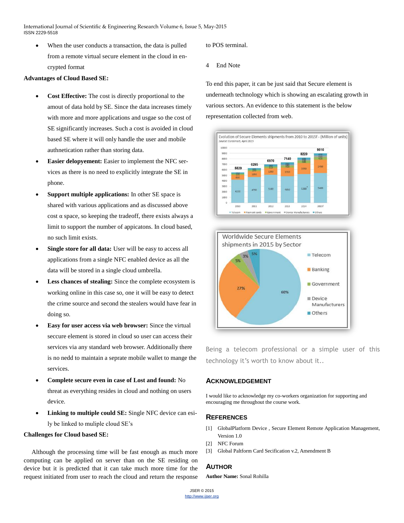When the user conducts a transaction, the data is pulled from a remote virtual secure element in the cloud in encrypted format

#### **Advantages of Cloud Based SE:**

- **Cost Effective:** The cost is directly proportional to the amout of data hold by SE. Since the data increases timely with more and more applications and usgae so the cost of SE significantly increases. Such a cost is avoided in cloud based SE where it will only handle the user and mobile authnetication rather than storing data.
- **Easier delopyement:** Easier to implement the NFC services as there is no need to explicitly integrate the SE in phone.
- **Support multiple applications:** In other SE space is shared with various applications and as discussed above cost α space, so keeping the tradeoff, there exists always a limit to support the number of appicatons. In cloud based, no such limit exists.
- **Single store for all data:** User will be easy to access all applications from a single NFC enabled device as all the data will be stored in a single cloud umbrella.
- **Less chances of stealing:** Since the complete ecosystem is working online in this case so, one it will be easy to detect the crime source and second the stealers would have fear in doing so.
- **Easy for user access via web browser:** Since the virtual seccure element is stored in cloud so user can access their services via any standard web browser. Additionally there is no nedd to maintain a seprate mobile wallet to mange the services.
- **Complete secure even in case of Lost and found:** No threat as everything resides in cloud and nothing on users device.
- **Linking to multiple could SE:** Single NFC device can esily be linked to muliple cloud SE's

#### **Challenges for Cloud based SE:**

Although the processing time will be fast enough as much more computing can be applied on server than on the SE residing on device but it is predicted that it can take much more time for the request initiated from user to reach the cloud and return the response to POS terminal.

4 End Note

To end this paper, it can be just said that Secure element is underneath technology which is showing an escalating growth in various sectors. An evidence to this statement is the below representation collected from web.





Being a telecom professional or a simple user of this technology it's worth to know about it..

## **ACKNOWLEDGEMENT**

I would like to acknowledge my co-workers organization for supporting and encouraging me throughout the course work.

## **REFERENCES**

- [1] GlobalPlatform Device , Secure Element Remote Application Management, Version 1.0
- [2] NFC Forum
- [3] Global Paltform Card Secification v.2, Amendment B

# **AUTHOR**

**Author Name:** Sonal Rohilla